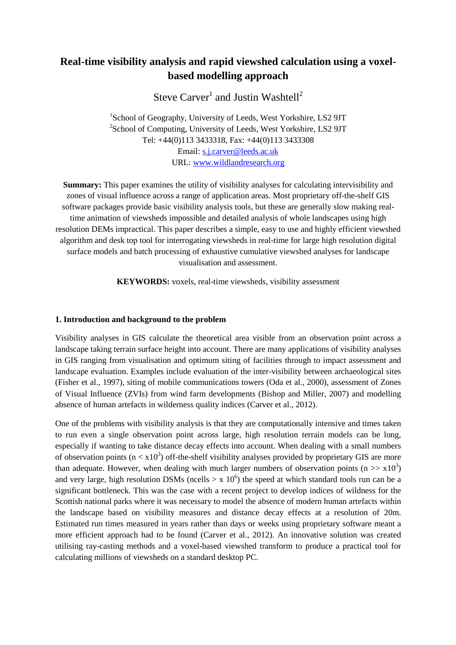# **Real-time visibility analysis and rapid viewshed calculation using a voxelbased modelling approach**

Steve Carver<sup>1</sup> and Justin Washtell<sup>2</sup>

1 School of Geography, University of Leeds, West Yorkshire, LS2 9JT <sup>2</sup>School of Computing, University of Leeds, West Yorkshire, LS2 9JT Tel: +44(0)113 3433318, Fax: +44(0)113 3433308 Email: s.j.carver@leeds.ac.uk URL: www.wildlandresearch.org

**Summary:** This paper examines the utility of visibility analyses for calculating intervisibility and zones of visual influence across a range of application areas. Most proprietary off-the-shelf GIS software packages provide basic visibility analysis tools, but these are generally slow making realtime animation of viewsheds impossible and detailed analysis of whole landscapes using high resolution DEMs impractical. This paper describes a simple, easy to use and highly efficient viewshed algorithm and desk top tool for interrogating viewsheds in real-time for large high resolution digital surface models and batch processing of exhaustive cumulative viewshed analyses for landscape visualisation and assessment.

**KEYWORDS:** voxels, real-time viewsheds, visibility assessment

#### **1. Introduction and background to the problem**

Visibility analyses in GIS calculate the theoretical area visible from an observation point across a landscape taking terrain surface height into account. There are many applications of visibility analyses in GIS ranging from visualisation and optimum siting of facilities through to impact assessment and landscape evaluation. Examples include evaluation of the inter-visibility between archaeological sites (Fisher et al., 1997), siting of mobile communications towers (Oda et al., 2000), assessment of Zones of Visual Influence (ZVIs) from wind farm developments (Bishop and Miller, 2007) and modelling absence of human artefacts in wilderness quality indices (Carver et al., 2012).

One of the problems with visibility analysis is that they are computationally intensive and times taken to run even a single observation point across large, high resolution terrain models can be long, especially if wanting to take distance decay effects into account. When dealing with a small numbers of observation points ( $n < x10<sup>3</sup>$ ) off-the-shelf visibility analyses provided by proprietary GIS are more than adequate. However, when dealing with much larger numbers of observation points ( $n >> x10<sup>3</sup>$ ) and very large, high resolution DSMs (ncells  $> x 10<sup>6</sup>$ ) the speed at which standard tools run can be a significant bottleneck. This was the case with a recent project to develop indices of wildness for the Scottish national parks where it was necessary to model the absence of modern human artefacts within the landscape based on visibility measures and distance decay effects at a resolution of 20m. Estimated run times measured in years rather than days or weeks using proprietary software meant a more efficient approach had to be found (Carver et al., 2012). An innovative solution was created utilising ray-casting methods and a voxel-based viewshed transform to produce a practical tool for calculating millions of viewsheds on a standard desktop PC.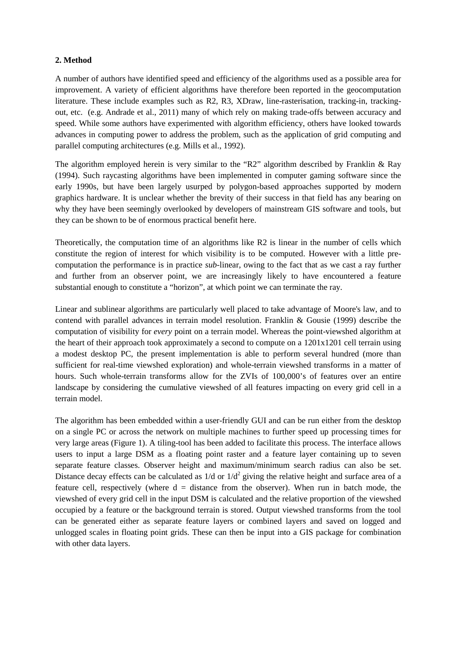# **2. Method**

A number of authors have identified speed and efficiency of the algorithms used as a possible area for improvement. A variety of efficient algorithms have therefore been reported in the geocomputation literature. These include examples such as R2, R3, XDraw, line-rasterisation, tracking-in, trackingout, etc. (e.g. Andrade et al., 2011) many of which rely on making trade-offs between accuracy and speed. While some authors have experimented with algorithm efficiency, others have looked towards advances in computing power to address the problem, such as the application of grid computing and parallel computing architectures (e.g. Mills et al., 1992).

The algorithm employed herein is very similar to the "R2" algorithm described by Franklin & Ray (1994). Such raycasting algorithms have been implemented in computer gaming software since the early 1990s, but have been largely usurped by polygon-based approaches supported by modern graphics hardware. It is unclear whether the brevity of their success in that field has any bearing on why they have been seemingly overlooked by developers of mainstream GIS software and tools, but they can be shown to be of enormous practical benefit here.

Theoretically, the computation time of an algorithms like R2 is linear in the number of cells which constitute the region of interest for which visibility is to be computed. However with a little precomputation the performance is in practice *sub-*linear, owing to the fact that as we cast a ray further and further from an observer point, we are increasingly likely to have encountered a feature substantial enough to constitute a "horizon", at which point we can terminate the ray.

Linear and sublinear algorithms are particularly well placed to take advantage of Moore's law, and to contend with parallel advances in terrain model resolution. Franklin & Gousie (1999) describe the computation of visibility for *every* point on a terrain model. Whereas the point-viewshed algorithm at the heart of their approach took approximately a second to compute on a 1201x1201 cell terrain using a modest desktop PC, the present implementation is able to perform several hundred (more than sufficient for real-time viewshed exploration) and whole-terrain viewshed transforms in a matter of hours. Such whole-terrain transforms allow for the ZVIs of 100,000's of features over an entire landscape by considering the cumulative viewshed of all features impacting on every grid cell in a terrain model.

The algorithm has been embedded within a user-friendly GUI and can be run either from the desktop on a single PC or across the network on multiple machines to further speed up processing times for very large areas (Figure 1). A tiling-tool has been added to facilitate this process. The interface allows users to input a large DSM as a floating point raster and a feature layer containing up to seven separate feature classes. Observer height and maximum/minimum search radius can also be set. Distance decay effects can be calculated as  $1/d$  or  $1/d^2$  giving the relative height and surface area of a feature cell, respectively (where  $d =$  distance from the observer). When run in batch mode, the viewshed of every grid cell in the input DSM is calculated and the relative proportion of the viewshed occupied by a feature or the background terrain is stored. Output viewshed transforms from the tool can be generated either as separate feature layers or combined layers and saved on logged and unlogged scales in floating point grids. These can then be input into a GIS package for combination with other data layers.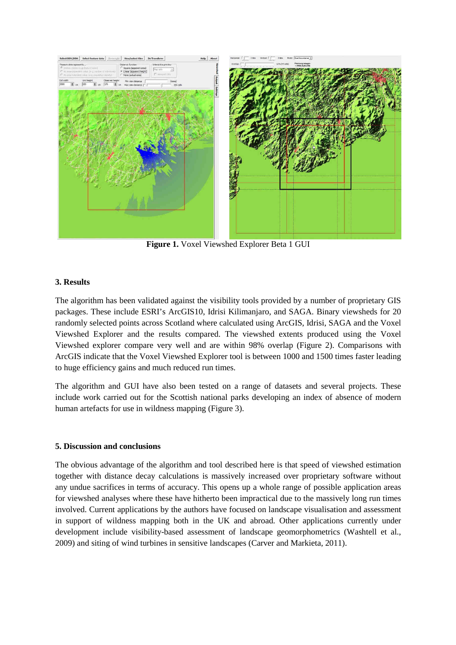

**Figure 1.** Voxel Viewshed Explorer Beta 1 GUI

# **3. Results**

The algorithm has been validated against the visibility tools provided by a number of proprietary GIS packages. These include ESRI's ArcGIS10, Idrisi Kilimanjaro, and SAGA. Binary viewsheds for 20 randomly selected points across Scotland where calculated using ArcGIS, Idrisi, SAGA and the Voxel Viewshed Explorer and the results compared. The viewshed extents produced using the Voxel Viewshed explorer compare very well and are within 98% overlap (Figure 2). Comparisons with ArcGIS indicate that the Voxel Viewshed Explorer tool is between 1000 and 1500 times faster leading to huge efficiency gains and much reduced run times.

The algorithm and GUI have also been tested on a range of datasets and several projects. These include work carried out for the Scottish national parks developing an index of absence of modern human artefacts for use in wildness mapping (Figure 3).

## **5. Discussion and conclusions**

The obvious advantage of the algorithm and tool described here is that speed of viewshed estimation together with distance decay calculations is massively increased over proprietary software without any undue sacrifices in terms of accuracy. This opens up a whole range of possible application areas for viewshed analyses where these have hitherto been impractical due to the massively long run times involved. Current applications by the authors have focused on landscape visualisation and assessment in support of wildness mapping both in the UK and abroad. Other applications currently under development include visibility-based assessment of landscape geomorphometrics (Washtell et al., 2009) and siting of wind turbines in sensitive landscapes (Carver and Markieta, 2011).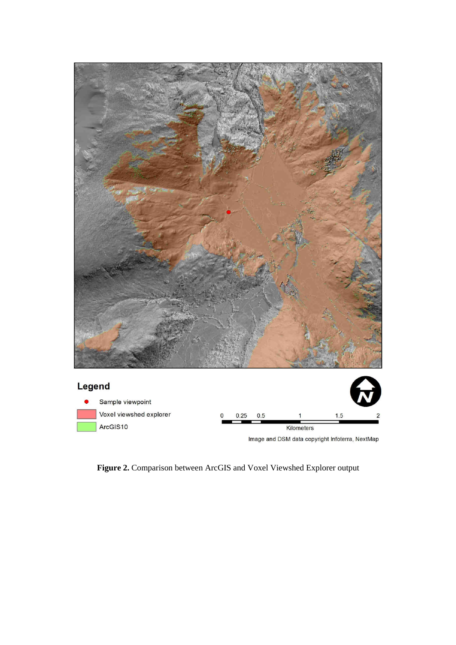

**Figure 2.** Comparison between ArcGIS and Voxel Viewshed Explorer output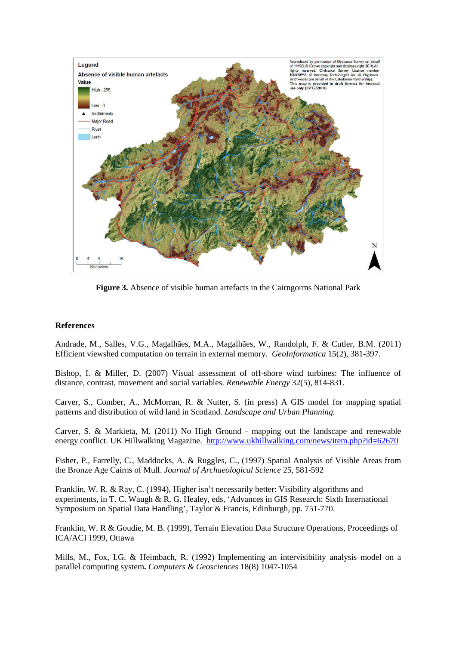

**Figure 3.** Absence of visible human artefacts in the Cairngorms National Park

## **References**

Andrade, M., Salles, V.G., Magalhães, M.A., Magalhães, W., Randolph, F. & Cutler, B.M. (2011) Efficient viewshed computation on terrain in external memory. *GeoInformatica* 15(2), 381-397.

Bishop, I. & Miller, D. (2007) Visual assessment of off-shore wind turbines: The influence of distance, contrast, movement and social variables. *Renewable Energy* 32(5), 814-831.

Carver, S., Comber, A., McMorran, R. & Nutter, S. (in press) A GIS model for mapping spatial patterns and distribution of wild land in Scotland. *Landscape and Urban Planning.* 

Carver, S. & Markieta, M. (2011) No High Ground - mapping out the landscape and renewable energy conflict. UK Hillwalking Magazine. http://www.ukhillwalking.com/news/item.php?id=62670

Fisher, P., Farrelly, C., Maddocks, A. & Ruggles, C., (1997) Spatial Analysis of Visible Areas from the Bronze Age Cairns of Mull. *Journal of Archaeological Science* 25, 581-592

Franklin, W. R. & Ray, C. (1994), Higher isn't necessarily better: Visibility algorithms and experiments, in T. C. Waugh & R. G. Healey, eds, 'Advances in GIS Research: Sixth International Symposium on Spatial Data Handling', Taylor & Francis, Edinburgh, pp. 751-770.

Franklin, W. R & Goudie, M. B. (1999), Terrain Elevation Data Structure Operations, Proceedings of ICA/ACI 1999, Ottawa

Mills, M., Fox, I.G. & Heimbach, R. (1992) Implementing an intervisibility analysis model on a parallel computing system**.** *Computers & Geosciences* 18(8) 1047-1054